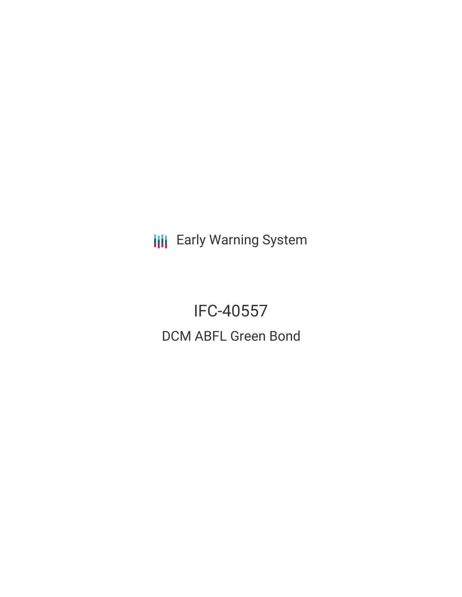**III** Early Warning System

IFC-40557 DCM ABFL Green Bond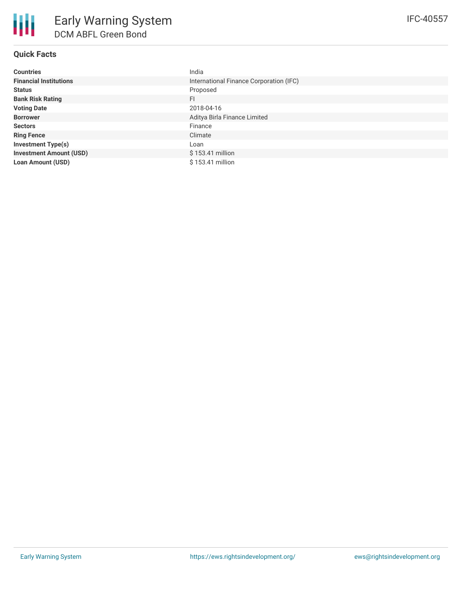# **Quick Facts**

| <b>Countries</b>               | India                                   |
|--------------------------------|-----------------------------------------|
| <b>Financial Institutions</b>  | International Finance Corporation (IFC) |
| <b>Status</b>                  | Proposed                                |
| <b>Bank Risk Rating</b>        | FI                                      |
| <b>Voting Date</b>             | 2018-04-16                              |
| <b>Borrower</b>                | Aditya Birla Finance Limited            |
| <b>Sectors</b>                 | Finance                                 |
| <b>Ring Fence</b>              | Climate                                 |
| <b>Investment Type(s)</b>      | ∟oan                                    |
| <b>Investment Amount (USD)</b> | \$153.41 million                        |
| <b>Loan Amount (USD)</b>       | \$153.41 million                        |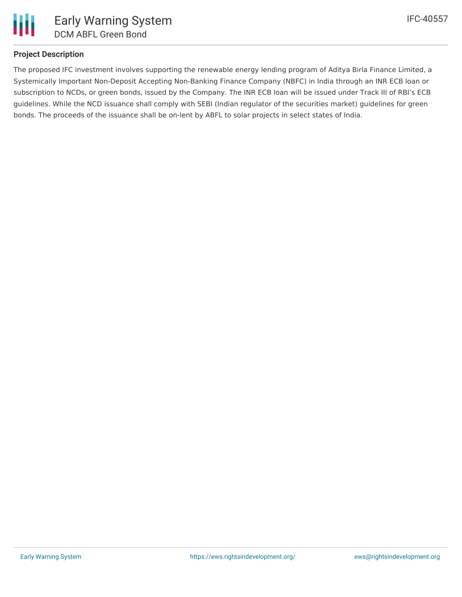

## **Project Description**

The proposed IFC investment involves supporting the renewable energy lending program of Aditya Birla Finance Limited, a Systemically Important Non-Deposit Accepting Non-Banking Finance Company (NBFC) in India through an INR ECB loan or subscription to NCDs, or green bonds, issued by the Company. The INR ECB loan will be issued under Track III of RBI's ECB guidelines. While the NCD issuance shall comply with SEBI (Indian regulator of the securities market) guidelines for green bonds. The proceeds of the issuance shall be on-lent by ABFL to solar projects in select states of India.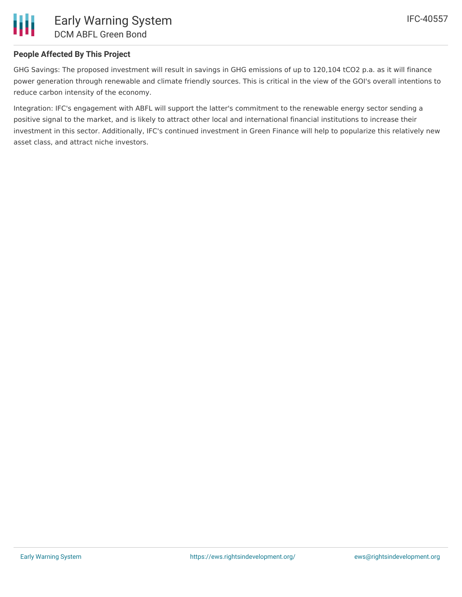## **People Affected By This Project**

GHG Savings: The proposed investment will result in savings in GHG emissions of up to 120,104 tCO2 p.a. as it will finance power generation through renewable and climate friendly sources. This is critical in the view of the GOI's overall intentions to reduce carbon intensity of the economy.

Integration: IFC's engagement with ABFL will support the latter's commitment to the renewable energy sector sending a positive signal to the market, and is likely to attract other local and international financial institutions to increase their investment in this sector. Additionally, IFC's continued investment in Green Finance will help to popularize this relatively new asset class, and attract niche investors.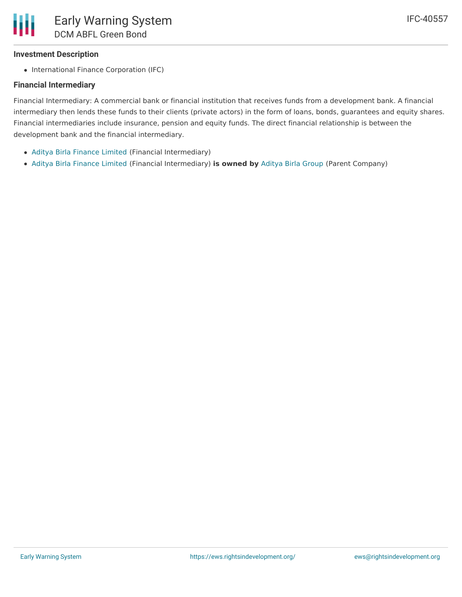### **Investment Description**

• International Finance Corporation (IFC)

#### **Financial Intermediary**

Financial Intermediary: A commercial bank or financial institution that receives funds from a development bank. A financial intermediary then lends these funds to their clients (private actors) in the form of loans, bonds, guarantees and equity shares. Financial intermediaries include insurance, pension and equity funds. The direct financial relationship is between the development bank and the financial intermediary.

- Aditya Birla [Finance](file:///actor/298/) Limited (Financial Intermediary)
- Aditya Birla [Finance](file:///actor/298/) Limited (Financial Intermediary) **is owned by** [Aditya](file:///actor/353/) Birla Group (Parent Company)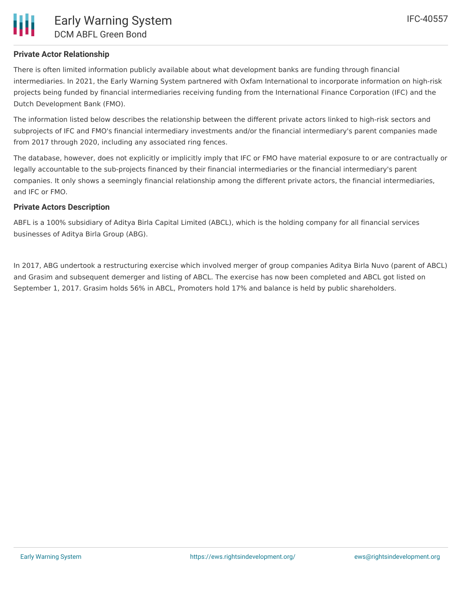## **Private Actor Relationship**

There is often limited information publicly available about what development banks are funding through financial intermediaries. In 2021, the Early Warning System partnered with Oxfam International to incorporate information on high-risk projects being funded by financial intermediaries receiving funding from the International Finance Corporation (IFC) and the Dutch Development Bank (FMO).

The information listed below describes the relationship between the different private actors linked to high-risk sectors and subprojects of IFC and FMO's financial intermediary investments and/or the financial intermediary's parent companies made from 2017 through 2020, including any associated ring fences.

The database, however, does not explicitly or implicitly imply that IFC or FMO have material exposure to or are contractually or legally accountable to the sub-projects financed by their financial intermediaries or the financial intermediary's parent companies. It only shows a seemingly financial relationship among the different private actors, the financial intermediaries, and IFC or FMO.

#### **Private Actors Description**

ABFL is a 100% subsidiary of Aditya Birla Capital Limited (ABCL), which is the holding company for all financial services businesses of Aditya Birla Group (ABG).

In 2017, ABG undertook a restructuring exercise which involved merger of group companies Aditya Birla Nuvo (parent of ABCL) and Grasim and subsequent demerger and listing of ABCL. The exercise has now been completed and ABCL got listed on September 1, 2017. Grasim holds 56% in ABCL, Promoters hold 17% and balance is held by public shareholders.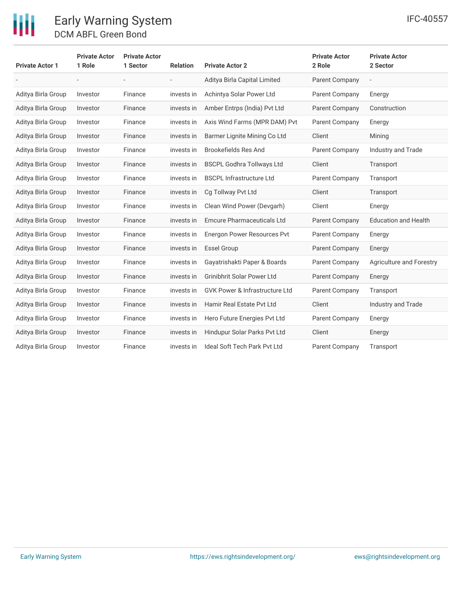| <b>Private Actor 1</b> | <b>Private Actor</b><br>1 Role | <b>Private Actor</b><br>1 Sector | <b>Relation</b> | <b>Private Actor 2</b>                    | <b>Private Actor</b><br>2 Role | <b>Private Actor</b><br>2 Sector |
|------------------------|--------------------------------|----------------------------------|-----------------|-------------------------------------------|--------------------------------|----------------------------------|
|                        | $\overline{\phantom{a}}$       | $\overline{\phantom{a}}$         | $ \,$           | Aditya Birla Capital Limited              | <b>Parent Company</b>          | $\overline{\phantom{m}}$         |
| Aditya Birla Group     | Investor                       | Finance                          | invests in      | Achintya Solar Power Ltd                  | <b>Parent Company</b>          | Energy                           |
| Aditya Birla Group     | Investor                       | Finance                          | invests in      | Amber Entrps (India) Pvt Ltd              | <b>Parent Company</b>          | Construction                     |
| Aditya Birla Group     | Investor                       | Finance                          | invests in      | Axis Wind Farms (MPR DAM) Pvt             | <b>Parent Company</b>          | Energy                           |
| Aditya Birla Group     | Investor                       | Finance                          | invests in      | Barmer Lignite Mining Co Ltd              | Client                         | Mining                           |
| Aditya Birla Group     | Investor                       | Finance                          | invests in      | Brookefields Res And                      | Parent Company                 | Industry and Trade               |
| Aditya Birla Group     | Investor                       | Finance                          | invests in      | <b>BSCPL Godhra Tollways Ltd</b>          | Client                         | Transport                        |
| Aditya Birla Group     | Investor                       | Finance                          | invests in      | <b>BSCPL Infrastructure Ltd</b>           | Parent Company                 | Transport                        |
| Aditya Birla Group     | Investor                       | Finance                          | invests in      | Cg Tollway Pvt Ltd                        | Client                         | Transport                        |
| Aditya Birla Group     | Investor                       | Finance                          | invests in      | Clean Wind Power (Devgarh)                | Client                         | Energy                           |
| Aditya Birla Group     | Investor                       | Finance                          | invests in      | <b>Emcure Pharmaceuticals Ltd</b>         | <b>Parent Company</b>          | <b>Education and Health</b>      |
| Aditya Birla Group     | Investor                       | Finance                          | invests in      | Energon Power Resources Pvt               | <b>Parent Company</b>          | Energy                           |
| Aditya Birla Group     | Investor                       | Finance                          | invests in      | <b>Essel Group</b>                        | <b>Parent Company</b>          | Energy                           |
| Aditya Birla Group     | Investor                       | Finance                          | invests in      | Gayatrishakti Paper & Boards              | <b>Parent Company</b>          | <b>Agriculture and Forestry</b>  |
| Aditya Birla Group     | Investor                       | Finance                          | invests in      | <b>Grinibhrit Solar Power Ltd</b>         | <b>Parent Company</b>          | Energy                           |
| Aditya Birla Group     | Investor                       | Finance                          | invests in      | <b>GVK Power &amp; Infrastructure Ltd</b> | <b>Parent Company</b>          | Transport                        |
| Aditya Birla Group     | Investor                       | Finance                          | invests in      | Hamir Real Estate Pvt Ltd                 | Client                         | Industry and Trade               |
| Aditya Birla Group     | Investor                       | Finance                          | invests in      | Hero Future Energies Pvt Ltd              | <b>Parent Company</b>          | Energy                           |
| Aditya Birla Group     | Investor                       | Finance                          | invests in      | Hindupur Solar Parks Pvt Ltd              | Client                         | Energy                           |
| Aditya Birla Group     | Investor                       | Finance                          | invests in      | <b>Ideal Soft Tech Park Pvt Ltd</b>       | Parent Company                 | Transport                        |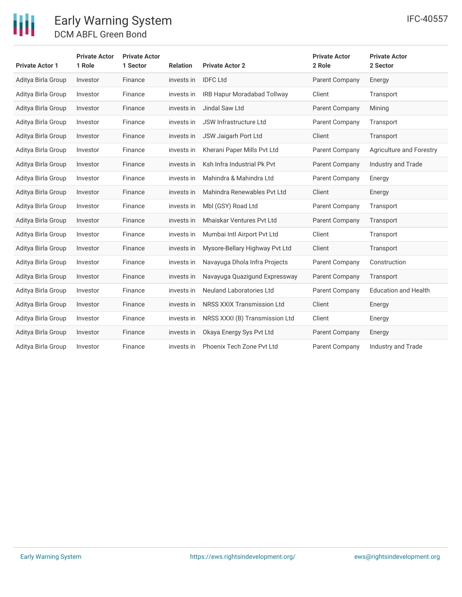

| <b>Private Actor 1</b> | <b>Private Actor</b><br>1 Role | <b>Private Actor</b><br>1 Sector | <b>Relation</b> | <b>Private Actor 2</b>           | <b>Private Actor</b><br>2 Role | <b>Private Actor</b><br>2 Sector |
|------------------------|--------------------------------|----------------------------------|-----------------|----------------------------------|--------------------------------|----------------------------------|
| Aditya Birla Group     | Investor                       | Finance                          | invests in      | <b>IDFC Ltd</b>                  | Parent Company                 | Energy                           |
| Aditya Birla Group     | Investor                       | Finance                          | invests in      | IRB Hapur Moradabad Tollway      | Client                         | Transport                        |
| Aditya Birla Group     | Investor                       | Finance                          | invests in      | Jindal Saw Ltd                   | Parent Company                 | Mining                           |
| Aditya Birla Group     | Investor                       | Finance                          | invests in      | <b>JSW Infrastructure Ltd</b>    | Parent Company                 | Transport                        |
| Aditya Birla Group     | Investor                       | Finance                          | invests in      | JSW Jaigarh Port Ltd             | Client                         | Transport                        |
| Aditya Birla Group     | Investor                       | Finance                          | invests in      | Kherani Paper Mills Pvt Ltd      | Parent Company                 | Agriculture and Forestry         |
| Aditya Birla Group     | Investor                       | Finance                          | invests in      | Ksh Infra Industrial Pk Pvt      | Parent Company                 | Industry and Trade               |
| Aditya Birla Group     | Investor                       | Finance                          | invests in      | Mahindra & Mahindra Ltd          | Parent Company                 | Energy                           |
| Aditya Birla Group     | Investor                       | Finance                          | invests in      | Mahindra Renewables Pyt Ltd      | Client                         | Energy                           |
| Aditya Birla Group     | Investor                       | Finance                          | invests in      | Mbl (GSY) Road Ltd               | Parent Company                 | Transport                        |
| Aditya Birla Group     | Investor                       | Finance                          | invests in      | <b>Mhaiskar Ventures Pvt Ltd</b> | Parent Company                 | Transport                        |
| Aditya Birla Group     | Investor                       | Finance                          | invests in      | Mumbai Intl Airport Pvt Ltd      | Client                         | Transport                        |
| Aditya Birla Group     | Investor                       | Finance                          | invests in      | Mysore-Bellary Highway Pvt Ltd   | Client                         | Transport                        |
| Aditya Birla Group     | Investor                       | Finance                          | invests in      | Navayuga Dhola Infra Projects    | Parent Company                 | Construction                     |
| Aditya Birla Group     | Investor                       | Finance                          | invests in      | Navayuga Quazigund Expressway    | Parent Company                 | Transport                        |
| Aditya Birla Group     | Investor                       | Finance                          | invests in      | <b>Neuland Laboratories Ltd</b>  | Parent Company                 | <b>Education and Health</b>      |
| Aditya Birla Group     | Investor                       | Finance                          | invests in      | NRSS XXIX Transmission Ltd       | Client                         | Energy                           |
| Aditya Birla Group     | Investor                       | Finance                          | invests in      | NRSS XXXI (B) Transmission Ltd   | Client                         | Energy                           |
| Aditya Birla Group     | Investor                       | Finance                          | invests in      | Okaya Energy Sys Pvt Ltd         | <b>Parent Company</b>          | Energy                           |
| Aditya Birla Group     | Investor                       | Finance                          | invests in      | Phoenix Tech Zone Pyt Ltd        | Parent Company                 | Industry and Trade               |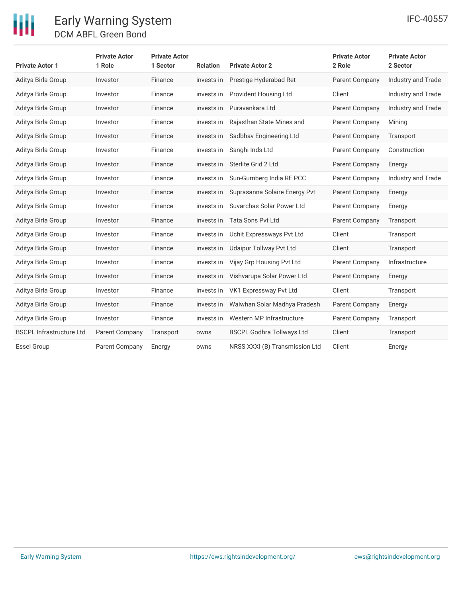# Early Warning System DCM ABFL Green Bond

| <b>Private Actor 1</b>          | <b>Private Actor</b><br>1 Role | <b>Private Actor</b><br>1 Sector | <b>Relation</b> | <b>Private Actor 2</b>           | <b>Private Actor</b><br>2 Role | <b>Private Actor</b><br>2 Sector |
|---------------------------------|--------------------------------|----------------------------------|-----------------|----------------------------------|--------------------------------|----------------------------------|
| Aditya Birla Group              | Investor                       | Finance                          | invests in      | Prestige Hyderabad Ret           | Parent Company                 | Industry and Trade               |
| Aditya Birla Group              | Investor                       | Finance                          | invests in      | Provident Housing Ltd            | Client                         | Industry and Trade               |
| Aditya Birla Group              | Investor                       | Finance                          | invests in      | Puravankara Ltd                  | Parent Company                 | Industry and Trade               |
| Aditya Birla Group              | Investor                       | Finance                          | invests in      | Rajasthan State Mines and        | Parent Company                 | Mining                           |
| Aditya Birla Group              | Investor                       | Finance                          | invests in      | Sadbhav Engineering Ltd          | <b>Parent Company</b>          | Transport                        |
| Aditya Birla Group              | Investor                       | Finance                          | invests in      | Sanghi Inds Ltd                  | Parent Company                 | Construction                     |
| Aditya Birla Group              | Investor                       | Finance                          | invests in      | Sterlite Grid 2 Ltd              | Parent Company                 | Energy                           |
| Aditya Birla Group              | Investor                       | Finance                          | invests in      | Sun-Gumberg India RE PCC         | Parent Company                 | <b>Industry and Trade</b>        |
| Aditya Birla Group              | Investor                       | Finance                          | invests in      | Suprasanna Solaire Energy Pvt    | Parent Company                 | Energy                           |
| Aditya Birla Group              | Investor                       | Finance                          | invests in      | Suvarchas Solar Power Ltd        | <b>Parent Company</b>          | Energy                           |
| Aditya Birla Group              | Investor                       | Finance                          | invests in      | <b>Tata Sons Pvt Ltd</b>         | Parent Company                 | Transport                        |
| Aditya Birla Group              | Investor                       | Finance                          | invests in      | Uchit Expressways Pvt Ltd        | Client                         | Transport                        |
| Aditya Birla Group              | Investor                       | Finance                          | invests in      | <b>Udaipur Tollway Pvt Ltd</b>   | Client                         | Transport                        |
| Aditya Birla Group              | Investor                       | Finance                          | invests in      | Vijay Grp Housing Pvt Ltd        | Parent Company                 | Infrastructure                   |
| Aditya Birla Group              | Investor                       | Finance                          | invests in      | Vishvarupa Solar Power Ltd       | Parent Company                 | Energy                           |
| Aditya Birla Group              | Investor                       | Finance                          | invests in      | VK1 Expressway Pvt Ltd           | Client                         | Transport                        |
| Aditya Birla Group              | Investor                       | Finance                          | invests in      | Walwhan Solar Madhya Pradesh     | Parent Company                 | Energy                           |
| Aditya Birla Group              | Investor                       | Finance                          | invests in      | Western MP Infrastructure        | Parent Company                 | Transport                        |
| <b>BSCPL Infrastructure Ltd</b> | Parent Company                 | Transport                        | owns            | <b>BSCPL Godhra Tollways Ltd</b> | Client                         | Transport                        |
| <b>Essel Group</b>              | Parent Company                 | Energy                           | owns            | NRSS XXXI (B) Transmission Ltd   | Client                         | Energy                           |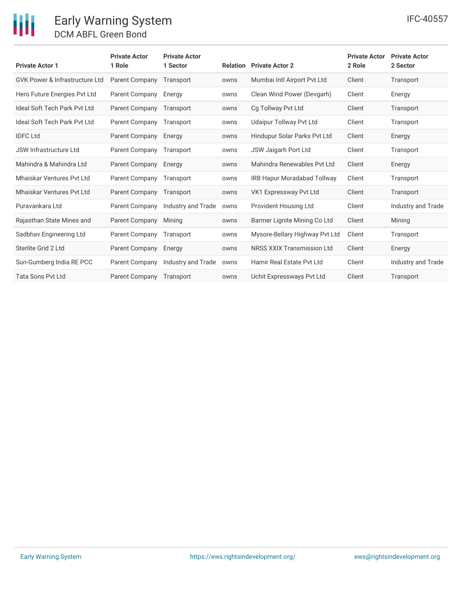# Early Warning System DCM ABFL Green Bond

| <b>Private Actor 1</b>                    | <b>Private Actor</b><br>1 Role | <b>Private Actor</b><br>1 Sector | <b>Relation</b> | <b>Private Actor 2</b>             | <b>Private Actor</b><br>2 Role | <b>Private Actor</b><br>2 Sector |
|-------------------------------------------|--------------------------------|----------------------------------|-----------------|------------------------------------|--------------------------------|----------------------------------|
| <b>GVK Power &amp; Infrastructure Ltd</b> | <b>Parent Company</b>          | Transport                        | owns            | Mumbai Intl Airport Pvt Ltd        | Client                         | Transport                        |
| Hero Future Energies Pvt Ltd              | Parent Company                 | Energy                           | owns            | Clean Wind Power (Devgarh)         | Client                         | Energy                           |
| <b>Ideal Soft Tech Park Pvt Ltd</b>       | Parent Company                 | Transport                        | owns            | Cg Tollway Pvt Ltd                 | Client                         | Transport                        |
| Ideal Soft Tech Park Pvt Ltd              | Parent Company                 | Transport                        | owns            | <b>Udaipur Tollway Pvt Ltd</b>     | Client                         | Transport                        |
| <b>IDFC Ltd</b>                           | <b>Parent Company</b>          | Energy                           | owns            | Hindupur Solar Parks Pvt Ltd       | Client                         | Energy                           |
| <b>JSW Infrastructure Ltd</b>             | Parent Company                 | Transport                        | owns            | JSW Jaigarh Port Ltd               | Client                         | Transport                        |
| Mahindra & Mahindra Ltd                   | Parent Company                 | Energy                           | owns            | Mahindra Renewables Pvt Ltd        | Client                         | Energy                           |
| Mhaiskar Ventures Pvt Ltd                 | Parent Company                 | Transport                        | owns            | <b>IRB Hapur Moradabad Tollway</b> | Client                         | Transport                        |
| <b>Mhaiskar Ventures Pyt Ltd</b>          | <b>Parent Company</b>          | Transport                        | owns            | VK1 Expressway Pvt Ltd             | Client                         | Transport                        |
| Puravankara Ltd                           | Parent Company                 | Industry and Trade               | owns            | Provident Housing Ltd              | Client                         | Industry and Trade               |
| Rajasthan State Mines and                 | <b>Parent Company</b>          | Mining                           | owns            | Barmer Lignite Mining Co Ltd       | Client                         | Mining                           |
| Sadbhav Engineering Ltd                   | <b>Parent Company</b>          | Transport                        | owns            | Mysore-Bellary Highway Pvt Ltd     | Client                         | Transport                        |
| Sterlite Grid 2 Ltd                       | Parent Company                 | Energy                           | owns            | <b>NRSS XXIX Transmission Ltd</b>  | Client                         | Energy                           |
| Sun-Gumberg India RE PCC                  | <b>Parent Company</b>          | Industry and Trade               | owns            | Hamir Real Estate Pyt Ltd          | Client                         | Industry and Trade               |
| <b>Tata Sons Pvt Ltd</b>                  | <b>Parent Company</b>          | Transport                        | owns            | Uchit Expressways Pyt Ltd          | Client                         | Transport                        |